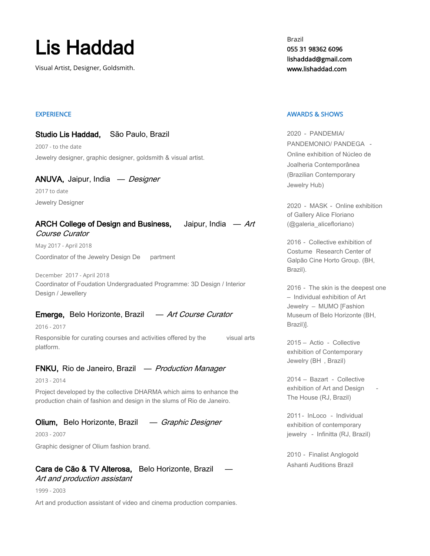# Lis Haddad

Visual Artist, Designer, Goldsmith.

## **EXPERIENCE**

#### Studio Lis Haddad, São Paulo, Brazil

2007 - to the date Jewelry designer, graphic designer, goldsmith & visual artist.

## ANUVA, Jaipur, India — Designer 2017 to date

Jewelry Designer

## ARCH College of Design and Business, Jaipur, India  $-Art$ Course Curator

May 2017 - April 2018 Coordinator of the Jewelry Design De partment

December 2017 - April 2018 Coordinator of Foudation Undergraduated Programme: 3D Design / Interior Design / Jewellery

# Emerge, Belo Horizonte, Brazil — Art Course Curator

2016 - 2017

Responsible for curating courses and activities offered by the visual arts platform.

# FNKU, Rio de Janeiro, Brazil — Production Manager

2013 - 2014

Project developed by the collective DHARMA which aims to enhance the production chain of fashion and design in the slums of Rio de Janeiro.

# Olium, Belo Horizonte, Brazil — Graphic Designer

2003 - 2007

Graphic designer of Olium fashion brand.

# Cara de Cão & TV Alterosa, Belo Horizonte, Brazil Art and production assistant

1999 - 2003

Art and production assistant of video and cinema production companies.

Brazil 055 31 98362 6096 lishaddad@gmail.com www.lishaddad.com

#### AWARDS & SHOWS

2020 - PANDEMIA/ PANDEMONIO/ PANDEGA - Online exhibition of Núcleo de Joalheria Contemporânea (Brazilian Contemporary Jewelry Hub)

2020 - MASK - Online exhibition of Gallery Alice Floriano (@galeria\_alicefloriano)

2016 - Collective exhibition of Costume Research Center of Galpão Cine Horto Group. (BH, Brazil).

2016 - The skin is the deepest one – Individual exhibition of Art Jewelry – MUMO [Fashion Museum of Belo Horizonte (BH, Brazil)].

2015 – Actio - Collective exhibition of Contemporary Jewelry (BH , Brazil)

2014 – Bazart - Collective exhibition of Art and Design The House (RJ, Brazil)

2011 - InLoco - Individual exhibition of contemporary jewelry - Infinitta (RJ, Brazil)

2010 - Finalist Anglogold Ashanti Auditions Brazil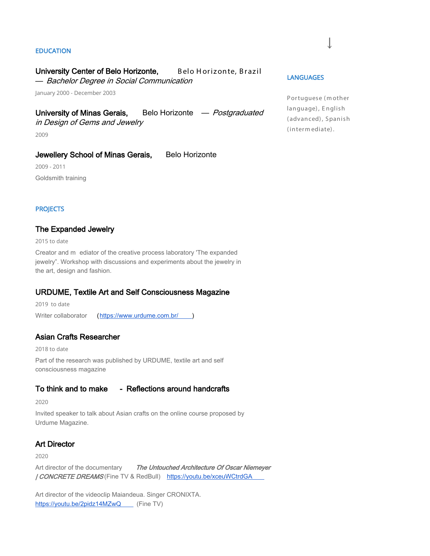#### EDUCATION

#### University Center of Belo Horizonte, Belo Horizonte, Brazil

— Bachelor Degree in Social Communication

January 2000 - December 2003

# University of Minas Gerais, Belo Horizonte — Postgraduated

in Design of Gems and Jewelry

2009

## Jewellery School of Minas Gerais, Belo Horizonte

2009 - 2011 Goldsmith training

#### **PROJECTS**

#### The Expanded Jewelry

2015 to date

Creator and m ediator of the creative process laboratory 'The expanded jewelry". Workshop with discussions and experiments about the jewelry in the art, design and fashion.

## URDUME, Textile Art and Self Consciousness Magazine

2019 to date Writer collaborator [\(https://www.urdume.com.br/](https://www.urdume.com.br/) )

## Asian Crafts Researcher

2018 to date Part of the research was published by URDUME, textile art and self consciousness magazine

# To think and to make - Reflections around handcrafts

2020

Invited speaker to talk about Asian crafts on the online course proposed by Urdume Magazine.

## Art Director

2020

Art director of the documentary The Untouched Architecture Of Oscar Niemeyer / CONCRETE DREAMS (Fine TV & RedBull) <https://youtu.be/xceuWCtrdGA>

Art director of the videoclip Maiandeua. Singer CRONIXTA. <https://youtu.be/2pidz14MZwQ>(Fine TV)

#### **LANGUAGES**

Portuguese (m other language), English ( advanced) , Spanish (interm ediate).